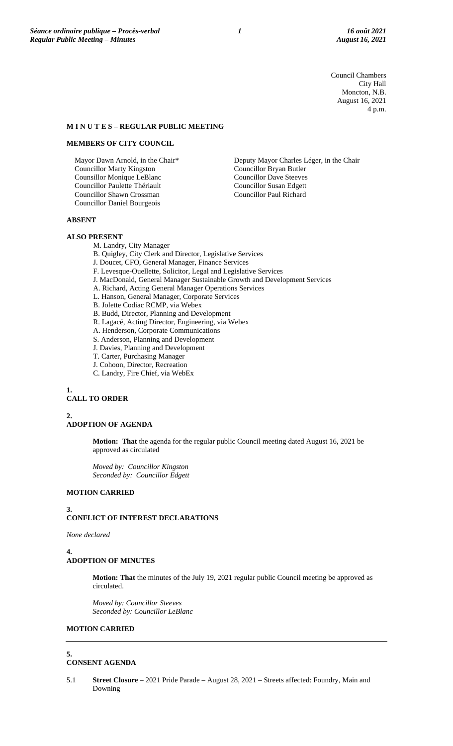Council Chambers City Hall Moncton, N.B. August 16, 2021 4 p.m.

#### **M I N U T E S – REGULAR PUBLIC MEETING**

#### **MEMBERS OF CITY COUNCIL**

Mayor Dawn Arnold, in the Chair\* Councillor Marty Kingston Counsillor Monique LeBlanc Councillor Paulette Thériault Councillor Shawn Crossman Councillor Daniel Bourgeois

# Deputy Mayor Charles Léger, in the Chair Councillor Bryan Butler Councillor Dave Steeves Councillor Susan Edgett Councillor Paul Richard

# **ABSENT**

# **ALSO PRESENT**

M. Landry, City Manager

- B. Quigley, City Clerk and Director, Legislative Services
- J. Doucet, CFO, General Manager, Finance Services
- F. Levesque-Ouellette, Solicitor, Legal and Legislative Services
- J. MacDonald, General Manager Sustainable Growth and Development Services
- A. Richard, Acting General Manager Operations Services
- L. Hanson, General Manager, Corporate Services
- B. Jolette Codiac RCMP, via Webex
- B. Budd, Director, Planning and Development
- R. Lagacé, Acting Director, Engineering, via Webex
- A. Henderson, Corporate Communications
- S. Anderson, Planning and Development
- J. Davies, Planning and Development
- T. Carter, Purchasing Manager
- J. Cohoon, Director, Recreation
- C. Landry, Fire Chief, via WebEx

### **1. CALL TO ORDER**

#### **2. ADOPTION OF AGENDA**

**Motion: That** the agenda for the regular public Council meeting dated August 16, 2021 be approved as circulated

*Moved by: Councillor Kingston Seconded by: Councillor Edgett*

# **MOTION CARRIED**

#### **3.**

# **CONFLICT OF INTEREST DECLARATIONS**

*None declared*

#### **4. ADOPTION OF MINUTES**

**Motion: That** the minutes of the July 19, 2021 regular public Council meeting be approved as circulated.

*Moved by: Councillor Steeves Seconded by: Councillor LeBlanc*

# **MOTION CARRIED**

**5.**

# **CONSENT AGENDA**

5.1 **Street Closure** – 2021 Pride Parade – August 28, 2021 – Streets affected: Foundry, Main and Downing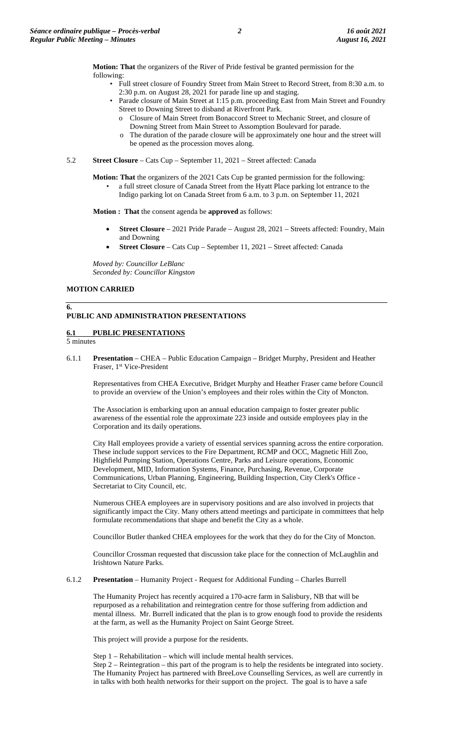**Motion: That** the organizers of the River of Pride festival be granted permission for the following:

- Full street closure of Foundry Street from Main Street to Record Street, from 8:30 a.m. to 2:30 p.m. on August 28, 2021 for parade line up and staging.
- Parade closure of Main Street at 1:15 p.m. proceeding East from Main Street and Foundry Street to Downing Street to disband at Riverfront Park.
	- o Closure of Main Street from Bonaccord Street to Mechanic Street, and closure of Downing Street from Main Street to Assomption Boulevard for parade.
	- o The duration of the parade closure will be approximately one hour and the street will be opened as the procession moves along.
- 5.2 **Street Closure** Cats Cup September 11, 2021 Street affected: Canada

**Motion: That** the organizers of the 2021 Cats Cup be granted permission for the following:

• a full street closure of Canada Street from the Hyatt Place parking lot entrance to the Indigo parking lot on Canada Street from 6 a.m. to 3 p.m. on September 11, 2021

**Motion : That** the consent agenda be **approved** as follows:

- **Street Closure** 2021 Pride Parade August 28, 2021 Streets affected: Foundry, Main and Downing
- **Street Closure** Cats Cup September 11, 2021 Street affected: Canada

*Moved by: Councillor LeBlanc Seconded by: Councillor Kingston*

# **MOTION CARRIED**

# **PUBLIC AND ADMINISTRATION PRESENTATIONS**

# **6.1 PUBLIC PRESENTATIONS**

5 minutes

**6.**

6.1.1 **Presentation** – CHEA – Public Education Campaign – Bridget Murphy, President and Heather Fraser, 1<sup>st</sup> Vice-President

Representatives from CHEA Executive, Bridget Murphy and Heather Fraser came before Council to provide an overview of the Union's employees and their roles within the City of Moncton.

The Association is embarking upon an annual education campaign to foster greater public awareness of the essential role the approximate 223 inside and outside employees play in the Corporation and its daily operations.

City Hall employees provide a variety of essential services spanning across the entire corporation. These include support services to the Fire Department, RCMP and OCC, Magnetic Hill Zoo, Highfield Pumping Station, Operations Centre, Parks and Leisure operations, Economic Development, MID, Information Systems, Finance, Purchasing, Revenue, Corporate Communications, Urban Planning, Engineering, Building Inspection, City Clerk's Office - Secretariat to City Council, etc.

Numerous CHEA employees are in supervisory positions and are also involved in projects that significantly impact the City. Many others attend meetings and participate in committees that help formulate recommendations that shape and benefit the City as a whole.

Councillor Butler thanked CHEA employees for the work that they do for the City of Moncton.

Councillor Crossman requested that discussion take place for the connection of McLaughlin and Irishtown Nature Parks.

6.1.2 **Presentation** – Humanity Project - Request for Additional Funding – Charles Burrell

The Humanity Project has recently acquired a 170-acre farm in Salisbury, NB that will be repurposed as a rehabilitation and reintegration centre for those suffering from addiction and mental illness. Mr. Burrell indicated that the plan is to grow enough food to provide the residents at the farm, as well as the Humanity Project on Saint George Street.

This project will provide a purpose for the residents.

Step 1 – Rehabilitation – which will include mental health services.

Step 2 – Reintegration – this part of the program is to help the residents be integrated into society. The Humanity Project has partnered with BreeLove Counselling Services, as well are currently in in talks with both health networks for their support on the project. The goal is to have a safe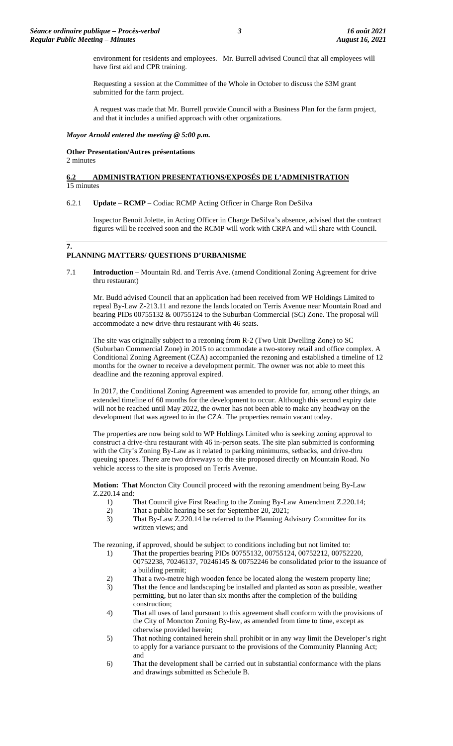environment for residents and employees. Mr. Burrell advised Council that all employees will have first aid and CPR training.

Requesting a session at the Committee of the Whole in October to discuss the \$3M grant submitted for the farm project.

A request was made that Mr. Burrell provide Council with a Business Plan for the farm project, and that it includes a unified approach with other organizations.

### *Mayor Arnold entered the meeting @ 5:00 p.m.*

# **Other Presentation/Autres présentations**

2 minutes

**7.**

# **6.2 ADMINISTRATION PRESENTATIONS/EXPOSÉS DE L'ADMINISTRATION**  15 minutes

6.2.1 **Update** – **RCMP** – Codiac RCMP Acting Officer in Charge Ron DeSilva

Inspector Benoit Jolette, in Acting Officer in Charge DeSilva's absence, advised that the contract figures will be received soon and the RCMP will work with CRPA and will share with Council.

# **PLANNING MATTERS/ QUESTIONS D'URBANISME**

7.1 **Introduction** – Mountain Rd. and Terris Ave. (amend Conditional Zoning Agreement for drive thru restaurant)

Mr. Budd advised Council that an application had been received from WP Holdings Limited to repeal By-Law Z-213.11 and rezone the lands located on Terris Avenue near Mountain Road and bearing PIDs 00755132 & 00755124 to the Suburban Commercial (SC) Zone. The proposal will accommodate a new drive-thru restaurant with 46 seats.

The site was originally subject to a rezoning from R-2 (Two Unit Dwelling Zone) to SC (Suburban Commercial Zone) in 2015 to accommodate a two-storey retail and office complex. A Conditional Zoning Agreement (CZA) accompanied the rezoning and established a timeline of 12 months for the owner to receive a development permit. The owner was not able to meet this deadline and the rezoning approval expired.

In 2017, the Conditional Zoning Agreement was amended to provide for, among other things, an extended timeline of 60 months for the development to occur. Although this second expiry date will not be reached until May 2022, the owner has not been able to make any headway on the development that was agreed to in the CZA. The properties remain vacant today.

The properties are now being sold to WP Holdings Limited who is seeking zoning approval to construct a drive-thru restaurant with 46 in-person seats. The site plan submitted is conforming with the City's Zoning By-Law as it related to parking minimums, setbacks, and drive-thru queuing spaces. There are two driveways to the site proposed directly on Mountain Road. No vehicle access to the site is proposed on Terris Avenue.

**Motion: That** Moncton City Council proceed with the rezoning amendment being By-Law Z.220.14 and:

- 1) That Council give First Reading to the Zoning By-Law Amendment Z.220.14;
- 2) That a public hearing be set for September 20, 2021;
- 3) That By-Law Z.220.14 be referred to the Planning Advisory Committee for its written views; and

The rezoning, if approved, should be subject to conditions including but not limited to:

- 1) That the properties bearing PIDs 00755132, 00755124, 00752212, 00752220, 00752238, 70246137, 70246145 & 00752246 be consolidated prior to the issuance of a building permit;
- 2) That a two-metre high wooden fence be located along the western property line;
- 3) That the fence and landscaping be installed and planted as soon as possible, weather permitting, but no later than six months after the completion of the building construction;
- 4) That all uses of land pursuant to this agreement shall conform with the provisions of the City of Moncton Zoning By-law, as amended from time to time, except as otherwise provided herein;
- 5) That nothing contained herein shall prohibit or in any way limit the Developer's right to apply for a variance pursuant to the provisions of the Community Planning Act; and
- 6) That the development shall be carried out in substantial conformance with the plans and drawings submitted as Schedule B.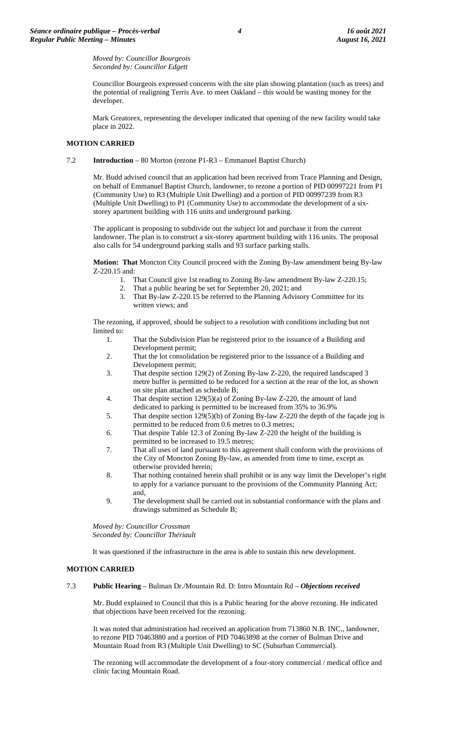*Moved by: Councillor Bourgeois Seconded by: Councillor Edgett*

Councillor Bourgeois expressed concerns with the site plan showing plantation (such as trees) and the potential of realigning Terris Ave. to meet Oakland – this would be wasting money for the developer.

Mark Greatorex, representing the developer indicated that opening of the new facility would take place in 2022.

## **MOTION CARRIED**

### 7.2 **Introduction** – 80 Morton (rezone P1-R3 – Emmanuel Baptist Church)

Mr. Budd advised council that an application had been received from Trace Planning and Design, on behalf of Emmanuel Baptist Church, landowner, to rezone a portion of PID 00997221 from P1 (Community Use) to R3 (Multiple Unit Dwelling) and a portion of PID 00997239 from R3 (Multiple Unit Dwelling) to P1 (Community Use) to accommodate the development of a sixstorey apartment building with 116 units and underground parking.

The applicant is proposing to subdivide out the subject lot and purchase it from the current landowner. The plan is to construct a six-storey apartment building with 116 units. The proposal also calls for 54 underground parking stalls and 93 surface parking stalls.

**Motion: That** Moncton City Council proceed with the Zoning By-law amendment being By-law Z-220.15 and:

- 1. That Council give 1st reading to Zoning By-law amendment By-law Z-220.15;
- 2. That a public hearing be set for September 20, 2021; and
- 3. That By-law Z-220.15 be referred to the Planning Advisory Committee for its written views; and

The rezoning, if approved, should be subject to a resolution with conditions including but not limited to:

- 1. That the Subdivision Plan be registered prior to the issuance of a Building and Development permit;
- 2. That the lot consolidation be registered prior to the issuance of a Building and Development permit;
- 3. That despite section 129(2) of Zoning By-law Z-220, the required landscaped 3 metre buffer is permitted to be reduced for a section at the rear of the lot, as shown on site plan attached as schedule B;
- 4. That despite section 129(5)(a) of Zoning By-law Z-220, the amount of land dedicated to parking is permitted to be increased from 35% to 36.9%
- 5. That despite section 129(5)(b) of Zoning By-law Z-220 the depth of the façade jog is permitted to be reduced from 0.6 metres to 0.3 metres;
- 6. That despite Table 12.3 of Zoning By-law Z-220 the height of the building is permitted to be increased to 19.5 metres;
- 7. That all uses of land pursuant to this agreement shall conform with the provisions of the City of Moncton Zoning By-law, as amended from time to time, except as otherwise provided herein;
- 8. That nothing contained herein shall prohibit or in any way limit the Developer's right to apply for a variance pursuant to the provisions of the Community Planning Act; and,
- 9. The development shall be carried out in substantial conformance with the plans and drawings submitted as Schedule B;

*Moved by: Councillor Crossman Seconded by: Councillor Thériault*

It was questioned if the infrastructure in the area is able to sustain this new development.

# **MOTION CARRIED**

### 7.3 **Public Hearing** – Bulman Dr./Mountain Rd. D: Intro Mountain Rd – *Objections received*

Mr. Budd explained to Council that this is a Public hearing for the above rezoning. He indicated that objections have been received for the rezoning.

It was noted that administration had received an application from 713860 N.B. INC., landowner, to rezone PID 70463880 and a portion of PID 70463898 at the corner of Bulman Drive and Mountain Road from R3 (Multiple Unit Dwelling) to SC (Suburban Commercial).

The rezoning will accommodate the development of a four-story commercial / medical office and clinic facing Mountain Road.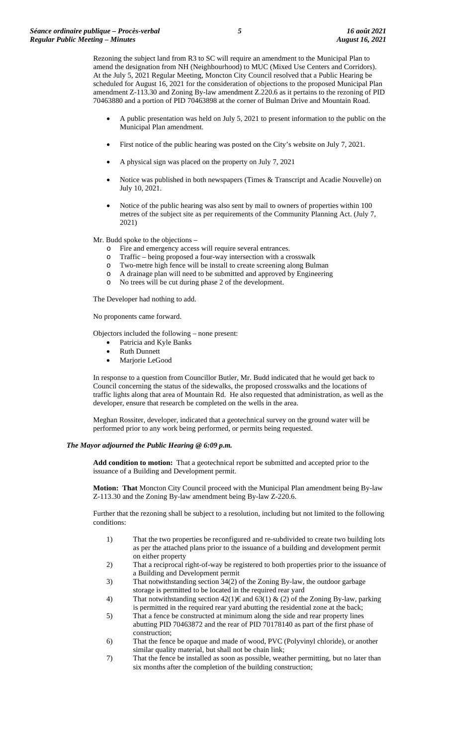Rezoning the subject land from R3 to SC will require an amendment to the Municipal Plan to amend the designation from NH (Neighbourhood) to MUC (Mixed Use Centers and Corridors). At the July 5, 2021 Regular Meeting, Moncton City Council resolved that a Public Hearing be scheduled for August 16, 2021 for the consideration of objections to the proposed Municipal Plan amendment Z-113.30 and Zoning By-law amendment Z.220.6 as it pertains to the rezoning of PID 70463880 and a portion of PID 70463898 at the corner of Bulman Drive and Mountain Road.

- A public presentation was held on July 5, 2021 to present information to the public on the Municipal Plan amendment.
- First notice of the public hearing was posted on the City's website on July 7, 2021.
- A physical sign was placed on the property on July 7, 2021
- Notice was published in both newspapers (Times & Transcript and Acadie Nouvelle) on July 10, 2021.
- Notice of the public hearing was also sent by mail to owners of properties within 100 metres of the subject site as per requirements of the Community Planning Act. (July 7, 2021)

Mr. Budd spoke to the objections –

- o Fire and emergency access will require several entrances.
- o Traffic being proposed a four-way intersection with a crosswalk
- o Two-metre high fence will be install to create screening along Bulman
- o A drainage plan will need to be submitted and approved by Engineering
- o No trees will be cut during phase 2 of the development.

The Developer had nothing to add.

No proponents came forward.

Objectors included the following – none present:

- Patricia and Kyle Banks
- Ruth Dunnett
- Marjorie LeGood

In response to a question from Councillor Butler, Mr. Budd indicated that he would get back to Council concerning the status of the sidewalks, the proposed crosswalks and the locations of traffic lights along that area of Mountain Rd. He also requested that administration, as well as the developer, ensure that research be completed on the wells in the area.

Meghan Rossiter, developer, indicated that a geotechnical survey on the ground water will be performed prior to any work being performed, or permits being requested.

#### *The Mayor adjourned the Public Hearing @ 6:09 p.m.*

**Add condition to motion:** That a geotechnical report be submitted and accepted prior to the issuance of a Building and Development permit.

**Motion: That** Moncton City Council proceed with the Municipal Plan amendment being By-law Z-113.30 and the Zoning By-law amendment being By-law Z-220.6.

Further that the rezoning shall be subject to a resolution, including but not limited to the following conditions:

- 1) That the two properties be reconfigured and re-subdivided to create two building lots as per the attached plans prior to the issuance of a building and development permit on either property
- 2) That a reciprocal right-of-way be registered to both properties prior to the issuance of a Building and Development permit
- 3) That notwithstanding section 34(2) of the Zoning By-law, the outdoor garbage storage is permitted to be located in the required rear yard
- 4) That notwithstanding section  $42(1) \in \text{and } 63(1) \& (2)$  of the Zoning By-law, parking is permitted in the required rear yard abutting the residential zone at the back;
- 5) That a fence be constructed at minimum along the side and rear property lines abutting PID 70463872 and the rear of PID 70178140 as part of the first phase of construction;
- 6) That the fence be opaque and made of wood, PVC (Polyvinyl chloride), or another similar quality material, but shall not be chain link;
- 7) That the fence be installed as soon as possible, weather permitting, but no later than six months after the completion of the building construction;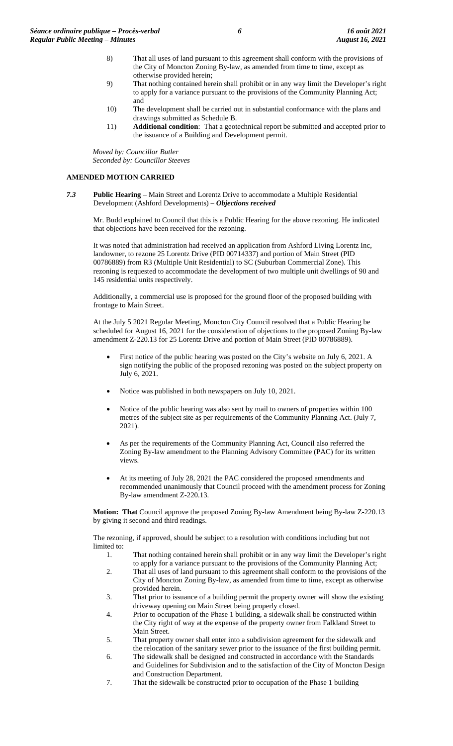- 8) That all uses of land pursuant to this agreement shall conform with the provisions of the City of Moncton Zoning By-law, as amended from time to time, except as otherwise provided herein;
- 9) That nothing contained herein shall prohibit or in any way limit the Developer's right to apply for a variance pursuant to the provisions of the Community Planning Act; and
- 10) The development shall be carried out in substantial conformance with the plans and drawings submitted as Schedule B.
- 11) **Additional condition**: That a geotechnical report be submitted and accepted prior to the issuance of a Building and Development permit.

*Moved by: Councillor Butler Seconded by: Councillor Steeves*

# **AMENDED MOTION CARRIED**

*7.3* **Public Hearing** – Main Street and Lorentz Drive to accommodate a Multiple Residential Development (Ashford Developments) – *Objections received*

Mr. Budd explained to Council that this is a Public Hearing for the above rezoning. He indicated that objections have been received for the rezoning.

It was noted that administration had received an application from Ashford Living Lorentz Inc, landowner, to rezone 25 Lorentz Drive (PID 00714337) and portion of Main Street (PID 00786889) from R3 (Multiple Unit Residential) to SC (Suburban Commercial Zone). This rezoning is requested to accommodate the development of two multiple unit dwellings of 90 and 145 residential units respectively.

Additionally, a commercial use is proposed for the ground floor of the proposed building with frontage to Main Street.

At the July 5 2021 Regular Meeting, Moncton City Council resolved that a Public Hearing be scheduled for August 16, 2021 for the consideration of objections to the proposed Zoning By-law amendment Z-220.13 for 25 Lorentz Drive and portion of Main Street (PID 00786889).

- First notice of the public hearing was posted on the City's website on July 6, 2021. A sign notifying the public of the proposed rezoning was posted on the subject property on July 6, 2021.
- Notice was published in both newspapers on July 10, 2021.
- Notice of the public hearing was also sent by mail to owners of properties within 100 metres of the subject site as per requirements of the Community Planning Act. (July 7, 2021).
- As per the requirements of the Community Planning Act, Council also referred the Zoning By-law amendment to the Planning Advisory Committee (PAC) for its written views.
- At its meeting of July 28, 2021 the PAC considered the proposed amendments and recommended unanimously that Council proceed with the amendment process for Zoning By-law amendment Z-220.13.

**Motion: That** Council approve the proposed Zoning By-law Amendment being By-law Z-220.13 by giving it second and third readings.

The rezoning, if approved, should be subject to a resolution with conditions including but not limited to:

- 1. That nothing contained herein shall prohibit or in any way limit the Developer's right to apply for a variance pursuant to the provisions of the Community Planning Act;
- 2. That all uses of land pursuant to this agreement shall conform to the provisions of the City of Moncton Zoning By-law, as amended from time to time, except as otherwise provided herein.
- 3. That prior to issuance of a building permit the property owner will show the existing driveway opening on Main Street being properly closed.
- 4. Prior to occupation of the Phase 1 building, a sidewalk shall be constructed within the City right of way at the expense of the property owner from Falkland Street to Main Street.
- 5. That property owner shall enter into a subdivision agreement for the sidewalk and the relocation of the sanitary sewer prior to the issuance of the first building permit.
- 6. The sidewalk shall be designed and constructed in accordance with the Standards and Guidelines for Subdivision and to the satisfaction of the City of Moncton Design and Construction Department.
- 7. That the sidewalk be constructed prior to occupation of the Phase 1 building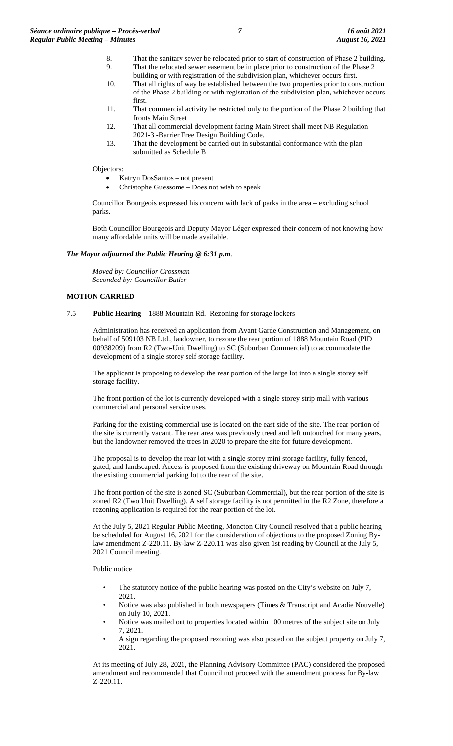- 8. That the sanitary sewer be relocated prior to start of construction of Phase 2 building. 9. That the relocated sewer easement be in place prior to construction of the Phase 2
	- building or with registration of the subdivision plan, whichever occurs first.
- 10. That all rights of way be established between the two properties prior to construction of the Phase 2 building or with registration of the subdivision plan, whichever occurs first.
- 11. That commercial activity be restricted only to the portion of the Phase 2 building that fronts Main Street
- 12. That all commercial development facing Main Street shall meet NB Regulation 2021-3 -Barrier Free Design Building Code.
- 13. That the development be carried out in substantial conformance with the plan submitted as Schedule B

Objectors:

- Katryn DosSantos not present
- Christophe Guessome Does not wish to speak

Councillor Bourgeois expressed his concern with lack of parks in the area – excluding school parks.

Both Councillor Bourgeois and Deputy Mayor Léger expressed their concern of not knowing how many affordable units will be made available.

## *The Mayor adjourned the Public Hearing @ 6:31 p.m*.

*Moved by: Councillor Crossman Seconded by: Councillor Butler*

# **MOTION CARRIED**

7.5 **Public Hearing** – 1888 Mountain Rd. Rezoning for storage lockers

Administration has received an application from Avant Garde Construction and Management, on behalf of 509103 NB Ltd., landowner, to rezone the rear portion of 1888 Mountain Road (PID 00938209) from R2 (Two-Unit Dwelling) to SC (Suburban Commercial) to accommodate the development of a single storey self storage facility.

The applicant is proposing to develop the rear portion of the large lot into a single storey self storage facility.

The front portion of the lot is currently developed with a single storey strip mall with various commercial and personal service uses.

Parking for the existing commercial use is located on the east side of the site. The rear portion of the site is currently vacant. The rear area was previously treed and left untouched for many years, but the landowner removed the trees in 2020 to prepare the site for future development.

The proposal is to develop the rear lot with a single storey mini storage facility, fully fenced, gated, and landscaped. Access is proposed from the existing driveway on Mountain Road through the existing commercial parking lot to the rear of the site.

The front portion of the site is zoned SC (Suburban Commercial), but the rear portion of the site is zoned R2 (Two Unit Dwelling). A self storage facility is not permitted in the R2 Zone, therefore a rezoning application is required for the rear portion of the lot.

At the July 5, 2021 Regular Public Meeting, Moncton City Council resolved that a public hearing be scheduled for August 16, 2021 for the consideration of objections to the proposed Zoning Bylaw amendment Z-220.11. By-law Z-220.11 was also given 1st reading by Council at the July 5, 2021 Council meeting.

Public notice

- The statutory notice of the public hearing was posted on the City's website on July 7, 2021.
- Notice was also published in both newspapers (Times & Transcript and Acadie Nouvelle) on July 10, 2021.
- Notice was mailed out to properties located within 100 metres of the subject site on July 7, 2021.
- A sign regarding the proposed rezoning was also posted on the subject property on July 7, 2021.

At its meeting of July 28, 2021, the Planning Advisory Committee (PAC) considered the proposed amendment and recommended that Council not proceed with the amendment process for By-law Z-220.11.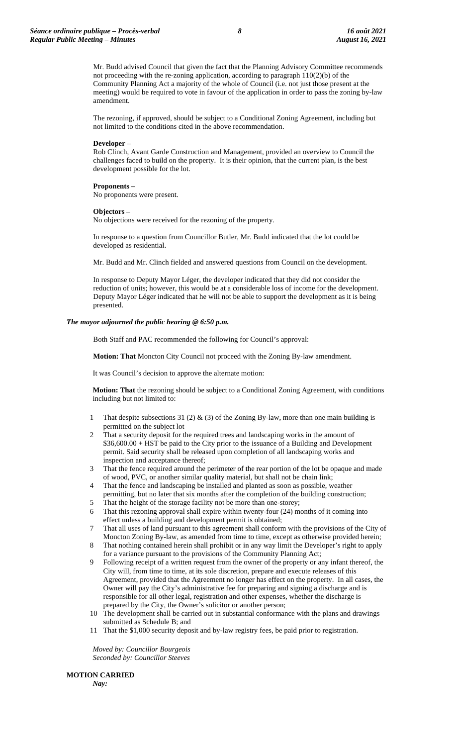Mr. Budd advised Council that given the fact that the Planning Advisory Committee recommends not proceeding with the re-zoning application, according to paragraph 110(2)(b) of the Community Planning Act a majority of the whole of Council (i.e. not just those present at the meeting) would be required to vote in favour of the application in order to pass the zoning by-law amendment.

The rezoning, if approved, should be subject to a Conditional Zoning Agreement, including but not limited to the conditions cited in the above recommendation.

#### **Developer –**

Rob Clinch, Avant Garde Construction and Management, provided an overview to Council the challenges faced to build on the property. It is their opinion, that the current plan, is the best development possible for the lot.

#### **Proponents –** No proponents were present.

#### **Objectors –**

No objections were received for the rezoning of the property.

In response to a question from Councillor Butler, Mr. Budd indicated that the lot could be developed as residential.

Mr. Budd and Mr. Clinch fielded and answered questions from Council on the development.

In response to Deputy Mayor Léger, the developer indicated that they did not consider the reduction of units; however, this would be at a considerable loss of income for the development. Deputy Mayor Léger indicated that he will not be able to support the development as it is being presented.

#### *The mayor adjourned the public hearing @ 6:50 p.m.*

Both Staff and PAC recommended the following for Council's approval:

**Motion: That** Moncton City Council not proceed with the Zoning By-law amendment.

It was Council's decision to approve the alternate motion:

**Motion: That** the rezoning should be subject to a Conditional Zoning Agreement, with conditions including but not limited to:

- 1 That despite subsections 31 (2) & (3) of the Zoning By-law, more than one main building is permitted on the subject lot
- That a security deposit for the required trees and landscaping works in the amount of \$36,600.00 + HST be paid to the City prior to the issuance of a Building and Development permit. Said security shall be released upon completion of all landscaping works and inspection and acceptance thereof;
- 3 That the fence required around the perimeter of the rear portion of the lot be opaque and made of wood, PVC, or another similar quality material, but shall not be chain link;
- 4 That the fence and landscaping be installed and planted as soon as possible, weather permitting, but no later that six months after the completion of the building construction;
- 5 That the height of the storage facility not be more than one-storey;
- 6 That this rezoning approval shall expire within twenty-four (24) months of it coming into effect unless a building and development permit is obtained;
- 7 That all uses of land pursuant to this agreement shall conform with the provisions of the City of Moncton Zoning By-law, as amended from time to time, except as otherwise provided herein;
- 8 That nothing contained herein shall prohibit or in any way limit the Developer's right to apply for a variance pursuant to the provisions of the Community Planning Act;
- 9 Following receipt of a written request from the owner of the property or any infant thereof, the City will, from time to time, at its sole discretion, prepare and execute releases of this Agreement, provided that the Agreement no longer has effect on the property. In all cases, the Owner will pay the City's administrative fee for preparing and signing a discharge and is responsible for all other legal, registration and other expenses, whether the discharge is prepared by the City, the Owner's solicitor or another person;
- 10 The development shall be carried out in substantial conformance with the plans and drawings submitted as Schedule B; and
- 11 That the \$1,000 security deposit and by-law registry fees, be paid prior to registration.

*Moved by: Councillor Bourgeois Seconded by: Councillor Steeves*

**MOTION CARRIED**

*Nay:*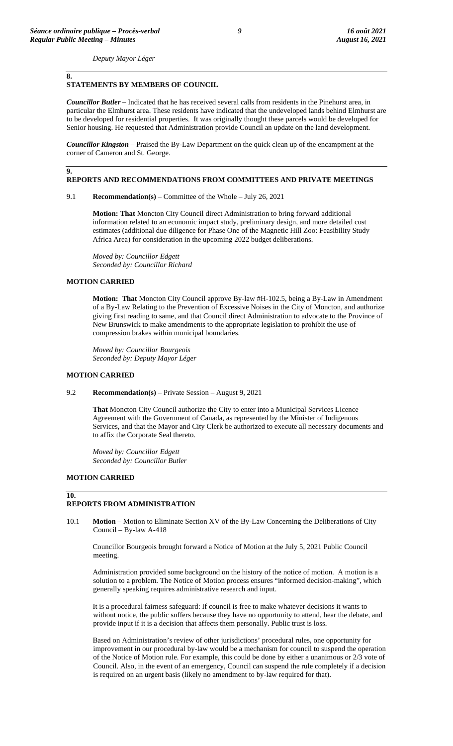**8.**

**9.**

*Deputy Mayor Léger*

# **STATEMENTS BY MEMBERS OF COUNCIL**

*Councillor Butler* – Indicated that he has received several calls from residents in the Pinehurst area, in particular the Elmhurst area. These residents have indicated that the undeveloped lands behind Elmhurst are to be developed for residential properties. It was originally thought these parcels would be developed for Senior housing. He requested that Administration provide Council an update on the land development.

*Councillor Kingston* – Praised the By-Law Department on the quick clean up of the encampment at the corner of Cameron and St. George.

### **REPORTS AND RECOMMENDATIONS FROM COMMITTEES AND PRIVATE MEETINGS**

9.1 **Recommendation(s)** – Committee of the Whole – July 26, 2021

**Motion: That** Moncton City Council direct Administration to bring forward additional information related to an economic impact study, preliminary design, and more detailed cost estimates (additional due diligence for Phase One of the Magnetic Hill Zoo: Feasibility Study Africa Area) for consideration in the upcoming 2022 budget deliberations.

*Moved by: Councillor Edgett Seconded by: Councillor Richard*

# **MOTION CARRIED**

**Motion: That** Moncton City Council approve By-law #H-102.5, being a By-Law in Amendment of a By-Law Relating to the Prevention of Excessive Noises in the City of Moncton, and authorize giving first reading to same, and that Council direct Administration to advocate to the Province of New Brunswick to make amendments to the appropriate legislation to prohibit the use of compression brakes within municipal boundaries.

*Moved by: Councillor Bourgeois Seconded by: Deputy Mayor Léger*

#### **MOTION CARRIED**

9.2 **Recommendation(s)** – Private Session – August 9, 2021

**That** Moncton City Council authorize the City to enter into a Municipal Services Licence Agreement with the Government of Canada, as represented by the Minister of Indigenous Services, and that the Mayor and City Clerk be authorized to execute all necessary documents and to affix the Corporate Seal thereto.

*Moved by: Councillor Edgett Seconded by: Councillor Butler*

### **MOTION CARRIED**

**10.**

### **REPORTS FROM ADMINISTRATION**

10.1 **Motion** – Motion to Eliminate Section XV of the By-Law Concerning the Deliberations of City Council – By-law A-418

Councillor Bourgeois brought forward a Notice of Motion at the July 5, 2021 Public Council meeting.

Administration provided some background on the history of the notice of motion. A motion is a solution to a problem. The Notice of Motion process ensures "informed decision-making", which generally speaking requires administrative research and input.

It is a procedural fairness safeguard: If council is free to make whatever decisions it wants to without notice, the public suffers because they have no opportunity to attend, hear the debate, and provide input if it is a decision that affects them personally. Public trust is loss.

Based on Administration's review of other jurisdictions' procedural rules, one opportunity for improvement in our procedural by-law would be a mechanism for council to suspend the operation of the Notice of Motion rule. For example, this could be done by either a unanimous or 2/3 vote of Council. Also, in the event of an emergency, Council can suspend the rule completely if a decision is required on an urgent basis (likely no amendment to by-law required for that).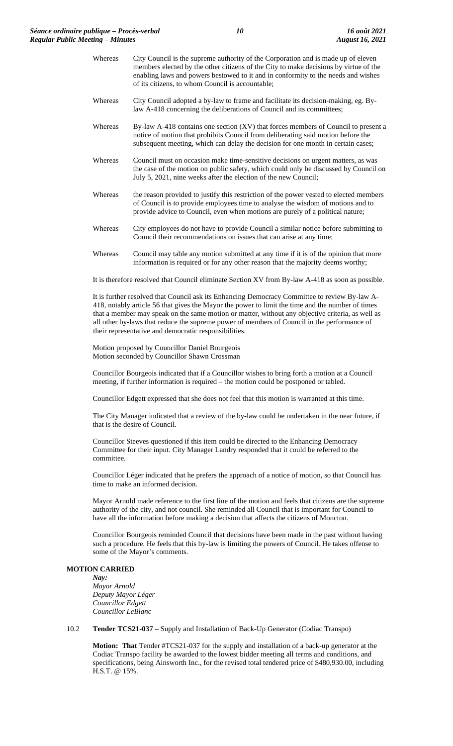- Whereas City Council is the supreme authority of the Corporation and is made up of eleven members elected by the other citizens of the City to make decisions by virtue of the enabling laws and powers bestowed to it and in conformity to the needs and wishes of its citizens, to whom Council is accountable;
- Whereas City Council adopted a by-law to frame and facilitate its decision-making, eg. Bylaw A-418 concerning the deliberations of Council and its committees;
- Whereas By-law A-418 contains one section (XV) that forces members of Council to present a notice of motion that prohibits Council from deliberating said motion before the subsequent meeting, which can delay the decision for one month in certain cases;
- Whereas Council must on occasion make time-sensitive decisions on urgent matters, as was the case of the motion on public safety, which could only be discussed by Council on July 5, 2021, nine weeks after the election of the new Council;
- Whereas the reason provided to justify this restriction of the power vested to elected members of Council is to provide employees time to analyse the wisdom of motions and to provide advice to Council, even when motions are purely of a political nature;
- Whereas City employees do not have to provide Council a similar notice before submitting to Council their recommendations on issues that can arise at any time;
- Whereas Council may table any motion submitted at any time if it is of the opinion that more information is required or for any other reason that the majority deems worthy;

It is therefore resolved that Council eliminate Section XV from By-law A-418 as soon as possible.

It is further resolved that Council ask its Enhancing Democracy Committee to review By-law A-418, notably article 56 that gives the Mayor the power to limit the time and the number of times that a member may speak on the same motion or matter, without any objective criteria, as well as all other by-laws that reduce the supreme power of members of Council in the performance of their representative and democratic responsibilities.

Motion proposed by Councillor Daniel Bourgeois Motion seconded by Councillor Shawn Crossman

Councillor Bourgeois indicated that if a Councillor wishes to bring forth a motion at a Council meeting, if further information is required – the motion could be postponed or tabled.

Councillor Edgett expressed that she does not feel that this motion is warranted at this time.

The City Manager indicated that a review of the by-law could be undertaken in the near future, if that is the desire of Council.

Councillor Steeves questioned if this item could be directed to the Enhancing Democracy Committee for their input. City Manager Landry responded that it could be referred to the committee.

Councillor Léger indicated that he prefers the approach of a notice of motion, so that Council has time to make an informed decision.

Mayor Arnold made reference to the first line of the motion and feels that citizens are the supreme authority of the city, and not council. She reminded all Council that is important for Council to have all the information before making a decision that affects the citizens of Moncton.

Councillor Bourgeois reminded Council that decisions have been made in the past without having such a procedure. He feels that this by-law is limiting the powers of Council. He takes offense to some of the Mayor's comments.

#### **MOTION CARRIED**

*Nay: Mayor Arnold Deputy Mayor Léger Councillor Edgett Councillor LeBlanc*

## 10.2 **Tender TCS21-037** – Supply and Installation of Back-Up Generator (Codiac Transpo)

**Motion: That** Tender #TCS21-037 for the supply and installation of a back-up generator at the Codiac Transpo facility be awarded to the lowest bidder meeting all terms and conditions, and specifications, being Ainsworth Inc., for the revised total tendered price of \$480,930.00, including H.S.T. @ 15%.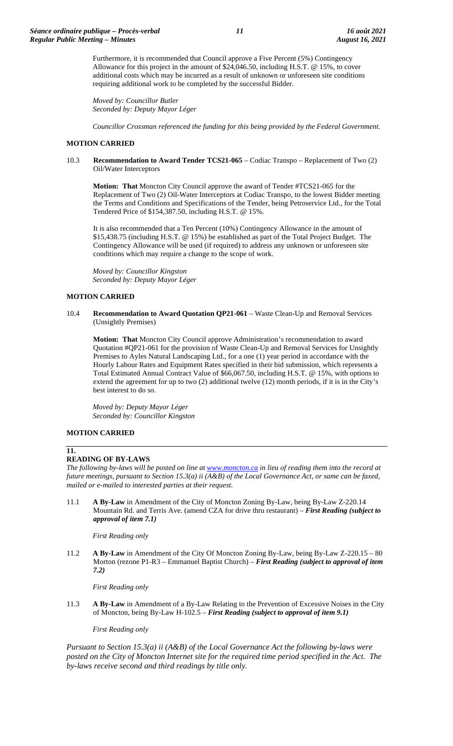Furthermore, it is recommended that Council approve a Five Percent (5%) Contingency Allowance for this project in the amount of \$24,046.50, including H.S.T. @ 15%, to cover additional costs which may be incurred as a result of unknown or unforeseen site conditions requiring additional work to be completed by the successful Bidder.

*Moved by: Councillor Butler Seconded by: Deputy Mayor Léger*

*Councillor Crossman referenced the funding for this being provided by the Federal Government.*

## **MOTION CARRIED**

10.3 **Recommendation to Award Tender TCS21-065** – Codiac Transpo – Replacement of Two (2) Oil/Water Interceptors

**Motion: That** Moncton City Council approve the award of Tender #TCS21-065 for the Replacement of Two (2) Oil-Water Interceptors at Codiac Transpo, to the lowest Bidder meeting the Terms and Conditions and Specifications of the Tender, being Petroservice Ltd., for the Total Tendered Price of \$154,387.50, including H.S.T. @ 15%.

It is also recommended that a Ten Percent (10%) Contingency Allowance in the amount of \$15,438.75 (including H.S.T. @ 15%) be established as part of the Total Project Budget. The Contingency Allowance will be used (if required) to address any unknown or unforeseen site conditions which may require a change to the scope of work.

*Moved by: Councillor Kingston Seconded by: Deputy Mayor Léger*

### **MOTION CARRIED**

### 10.4 **Recommendation to Award Quotation QP21-061** – Waste Clean-Up and Removal Services (Unsightly Premises)

**Motion: That** Moncton City Council approve Administration's recommendation to award Quotation #QP21-061 for the provision of Waste Clean-Up and Removal Services for Unsightly Premises to Ayles Natural Landscaping Ltd., for a one (1) year period in accordance with the Hourly Labour Rates and Equipment Rates specified in their bid submission, which represents a Total Estimated Annual Contract Value of \$66,067.50, including H.S.T. @ 15%, with options to extend the agreement for up to two (2) additional twelve (12) month periods, if it is in the City's best interest to do so.

*Moved by: Deputy Mayor Léger Seconded by: Councillor Kingston*

### **MOTION CARRIED**

## **11.**

# **READING OF BY-LAWS**

*The following by-laws will be posted on line a[t www.moncton.ca](http://www.moncton.ca/) in lieu of reading them into the record at future meetings, pursuant to Section 15.3(a) ii (A&B) of the Local Governance Act, or same can be faxed, mailed or e-mailed to interested parties at their request*.

11.1 **A By-Law** in Amendment of the City of Moncton Zoning By-Law, being By-Law Z-220.14 Mountain Rd. and Terris Ave. (amend CZA for drive thru restaurant) – *First Reading (subject to approval of item 7.1)*

*First Reading only*

11.2 **A By-Law** in Amendment of the City Of Moncton Zoning By-Law, being By-Law Z-220.15 – 80 Morton (rezone P1-R3 – Emmanuel Baptist Church) – *First Reading (subject to approval of item 7.2)*

*First Reading only*

11.3 **A By-Law** in Amendment of a By-Law Relating to the Prevention of Excessive Noises in the City of Moncton, being By-Law H-102.5 – *First Reading (subject to approval of item 9.1)*

*First Reading only*

*Pursuant to Section 15.3(a) ii (A&B) of the Local Governance Act the following by-laws were*  posted on the City of Moncton Internet site for the required time period specified in the Act. The *by-laws receive second and third readings by title only.*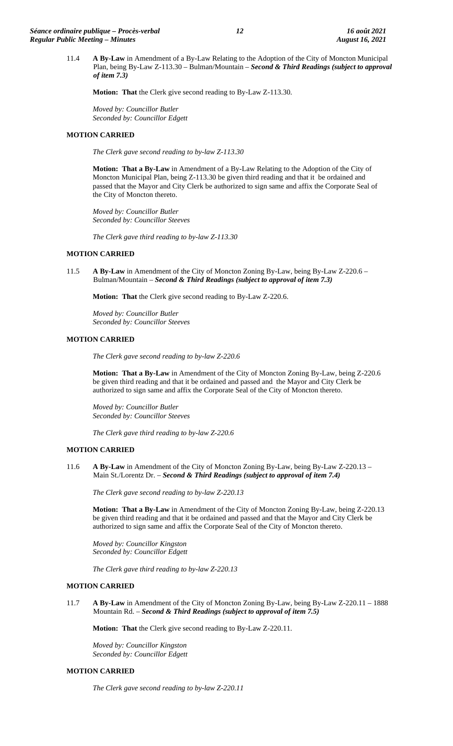11.4 **A By-Law** in Amendment of a By-Law Relating to the Adoption of the City of Moncton Municipal Plan, being By-Law Z-113.30 – Bulman/Mountain – *Second & Third Readings (subject to approval of item 7.3)*

**Motion: That** the Clerk give second reading to By-Law Z-113.30.

*Moved by: Councillor Butler Seconded by: Councillor Edgett*

## **MOTION CARRIED**

*The Clerk gave second reading to by-law Z-113.30*

**Motion: That a By-Law** in Amendment of a By-Law Relating to the Adoption of the City of Moncton Municipal Plan, being Z-113.30 be given third reading and that it be ordained and passed that the Mayor and City Clerk be authorized to sign same and affix the Corporate Seal of the City of Moncton thereto.

*Moved by: Councillor Butler Seconded by: Councillor Steeves*

*The Clerk gave third reading to by-law Z-113.30*

### **MOTION CARRIED**

11.5 **A By-Law** in Amendment of the City of Moncton Zoning By-Law, being By-Law Z-220.6 – Bulman/Mountain – *Second & Third Readings (subject to approval of item 7.3)*

**Motion: That** the Clerk give second reading to By-Law Z-220.6.

*Moved by: Councillor Butler Seconded by: Councillor Steeves*

### **MOTION CARRIED**

*The Clerk gave second reading to by-law Z-220.6*

**Motion: That a By-Law** in Amendment of the City of Moncton Zoning By-Law, being Z-220.6 be given third reading and that it be ordained and passed and the Mayor and City Clerk be authorized to sign same and affix the Corporate Seal of the City of Moncton thereto.

*Moved by: Councillor Butler Seconded by: Councillor Steeves*

*The Clerk gave third reading to by-law Z-220.6*

### **MOTION CARRIED**

11.6 **A By-Law** in Amendment of the City of Moncton Zoning By-Law, being By-Law Z-220.13 – Main St./Lorentz Dr. – *Second & Third Readings (subject to approval of item 7.4)*

*The Clerk gave second reading to by-law Z-220.13*

**Motion: That a By-Law** in Amendment of the City of Moncton Zoning By-Law, being Z-220.13 be given third reading and that it be ordained and passed and that the Mayor and City Clerk be authorized to sign same and affix the Corporate Seal of the City of Moncton thereto.

*Moved by: Councillor Kingston Seconded by: Councillor Edgett*

*The Clerk gave third reading to by-law Z-220.13*

### **MOTION CARRIED**

11.7 **A By-Law** in Amendment of the City of Moncton Zoning By-Law, being By-Law Z-220.11 – 1888 Mountain Rd. – *Second & Third Readings (subject to approval of item 7.5)*

**Motion: That** the Clerk give second reading to By-Law Z-220.11.

*Moved by: Councillor Kingston Seconded by: Councillor Edgett*

#### **MOTION CARRIED**

*The Clerk gave second reading to by-law Z-220.11*